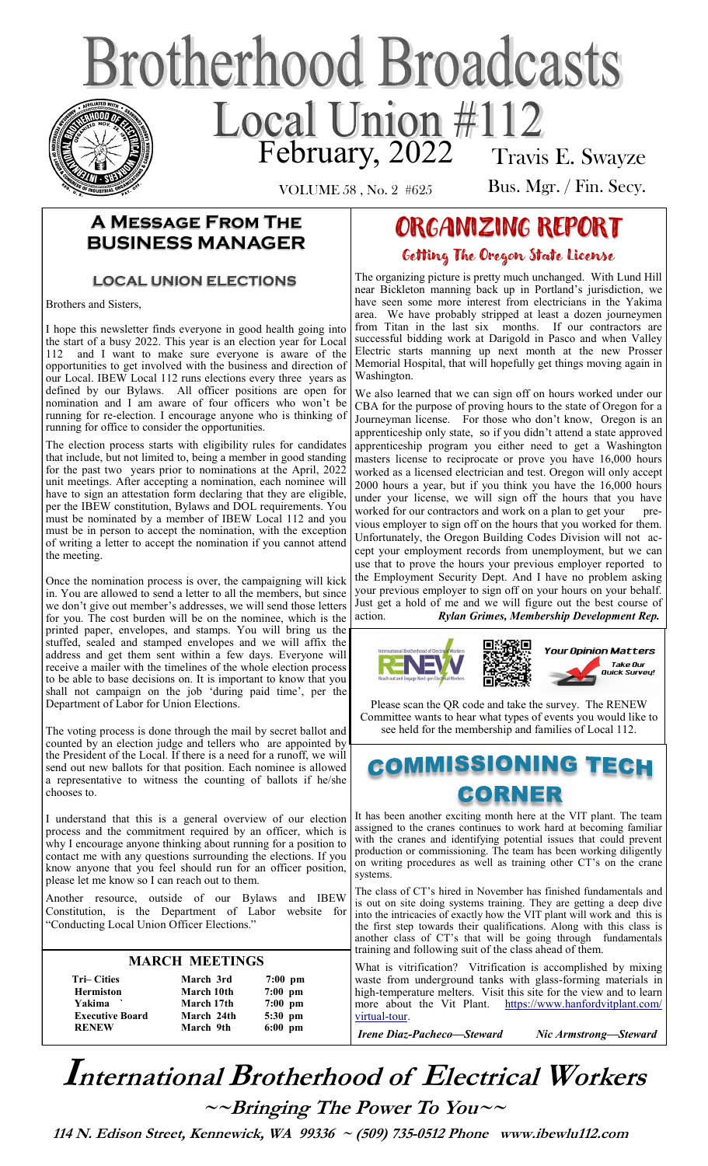# **Brotherhood Broadcasts** Local Union #112 Travis E. Swayze

VOLUME 58 , No. 2 #625

Bus. Mgr. / Fin. Secy.

## **A Message From The BUSINESS MANAGER**

## **LOCAL UNION ELECTIONS**

Brothers and Sisters,

I hope this newsletter finds everyone in good health going into the start of a busy 2022. This year is an election year for Local 112 and I want to make sure everyone is aware of the opportunities to get involved with the business and direction of our Local. IBEW Local 112 runs elections every three years as defined by our Bylaws. All officer positions are open for nomination and I am aware of four officers who won't be running for re-election. I encourage anyone who is thinking of running for office to consider the opportunities.

The election process starts with eligibility rules for candidates that include, but not limited to, being a member in good standing for the past two years prior to nominations at the April, 2022 unit meetings. After accepting a nomination, each nominee will have to sign an attestation form declaring that they are eligible, per the IBEW constitution, Bylaws and DOL requirements. You must be nominated by a member of IBEW Local 112 and you must be in person to accept the nomination, with the exception of writing a letter to accept the nomination if you cannot attend the meeting.

Once the nomination process is over, the campaigning will kick in. You are allowed to send a letter to all the members, but since we don't give out member's addresses, we will send those letters for you. The cost burden will be on the nominee, which is the printed paper, envelopes, and stamps. You will bring us the stuffed, sealed and stamped envelopes and we will affix the address and get them sent within a few days. Everyone will receive a mailer with the timelines of the whole election process to be able to base decisions on. It is important to know that you shall not campaign on the job 'during paid time', per the Department of Labor for Union Elections.

The voting process is done through the mail by secret ballot and counted by an election judge and tellers who are appointed by the President of the Local. If there is a need for a runoff, we will send out new ballots for that position. Each nominee is allowed a representative to witness the counting of ballots if he/she chooses to.

I understand that this is a general overview of our election process and the commitment required by an officer, which is why I encourage anyone thinking about running for a position to contact me with any questions surrounding the elections. If you know anyone that you feel should run for an officer position, please let me know so I can reach out to them.

Another resource, outside of our Bylaws and IBEW Constitution, is the Department of Labor website for "Conducting Local Union Officer Elections."

#### **MARCH MEETINGS**

| <b>Tri–Cities</b><br><b>Hermiston</b> | March 3rd<br>March 10th | $7:00$ pm<br>$7:00$ pm |
|---------------------------------------|-------------------------|------------------------|
| Yakima `                              | March 17th              | $7:00$ pm              |
| <b>Executive Board</b>                | March 24th              | 5:30 pm                |
| <b>RENEW</b>                          | March 9th               | $6:00$ pm              |

## ORGANIZING REPORT Getting The Oregon State License

The organizing picture is pretty much unchanged. With Lund Hill near Bickleton manning back up in Portland's jurisdiction, we have seen some more interest from electricians in the Yakima area. We have probably stripped at least a dozen journeymen from Titan in the last six months. If our contractors are successful bidding work at Darigold in Pasco and when Valley Electric starts manning up next month at the new Prosser Memorial Hospital, that will hopefully get things moving again in Washington.

We also learned that we can sign off on hours worked under our CBA for the purpose of proving hours to the state of Oregon for a Journeyman license. For those who don't know, Oregon is an apprenticeship only state, so if you didn't attend a state approved apprenticeship program you either need to get a Washington masters license to reciprocate or prove you have 16,000 hours worked as a licensed electrician and test. Oregon will only accept 2000 hours a year, but if you think you have the 16,000 hours under your license, we will sign off the hours that you have worked for our contractors and work on a plan to get your previous employer to sign off on the hours that you worked for them. Unfortunately, the Oregon Building Codes Division will not accept your employment records from unemployment, but we can use that to prove the hours your previous employer reported to the Employment Security Dept. And I have no problem asking your previous employer to sign off on your hours on your behalf. Just get a hold of me and we will figure out the best course of action. *Rylan Grimes, Membership Development Rep.* 



Please scan the QR code and take the survey. The RENEW Committee wants to hear what types of events you would like to see held for the membership and families of Local 112.

## **COMMISSIONING TECH** CORNER

It has been another exciting month here at the VIT plant. The team assigned to the cranes continues to work hard at becoming familiar with the cranes and identifying potential issues that could prevent production or commissioning. The team has been working diligently on writing procedures as well as training other CT's on the crane systems.

The class of CT's hired in November has finished fundamentals and is out on site doing systems training. They are getting a deep dive into the intricacies of exactly how the VIT plant will work and this is the first step towards their qualifications. Along with this class is another class of CT's that will be going through fundamentals training and following suit of the class ahead of them.

What is vitrification? Vitrification is accomplished by mixing waste from underground tanks with glass-forming materials in high-temperature melters. Visit this site for the view and to learn more about the Vit Plant. [https://www.hanfordvitplant.com/](https://www.hanfordvitplant.com/virtual-tour) [virtual](https://www.hanfordvitplant.com/virtual-tour)-tour.

*Irene Diaz-Pacheco—Steward Nic Armstrong—Steward* 

## **International Brotherhood of <sup>E</sup>lectrical Workers ~~Bringing The Power To You~~**

 **114 N. Edison Street, Kennewick, WA 99336 ~ (509) 735-0512 Phone www.ibewlu112.com**